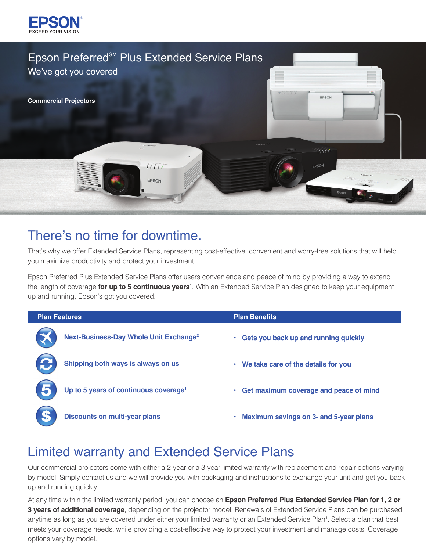



# There's no time for downtime.

That's why we offer Extended Service Plans, representing cost-effective, convenient and worry-free solutions that will help you maximize productivity and protect your investment.

Epson Preferred Plus Extended Service Plans offer users convenience and peace of mind by providing a way to extend the length of coverage **for up to 5 continuous years1** . With an Extended Service Plan designed to keep your equipment up and running, Epson's got you covered.

| <b>Plan Features</b>                               | <b>Plan Benefits</b>                               |
|----------------------------------------------------|----------------------------------------------------|
| Next-Business-Day Whole Unit Exchange <sup>2</sup> | Gets you back up and running quickly<br>$\bullet$  |
| Shipping both ways is always on us                 | • We take care of the details for you              |
| Up to 5 years of continuous coverage <sup>1</sup>  | Get maximum coverage and peace of mind<br>٠        |
| <b>Discounts on multi-year plans</b>               | <b>Maximum savings on 3- and 5-year plans</b><br>٠ |

# Limited warranty and Extended Service Plans

Our commercial projectors come with either a 2-year or a 3-year limited warranty with replacement and repair options varying by model. Simply contact us and we will provide you with packaging and instructions to exchange your unit and get you back up and running quickly.

At any time within the limited warranty period, you can choose an **Epson Preferred Plus Extended Service Plan for 1, 2 or 3 years of additional coverage**, depending on the projector model. Renewals of Extended Service Plans can be purchased anytime as long as you are covered under either your limited warranty or an Extended Service Plan<sup>1</sup>. Select a plan that best meets your coverage needs, while providing a cost-effective way to protect your investment and manage costs. Coverage options vary by model.